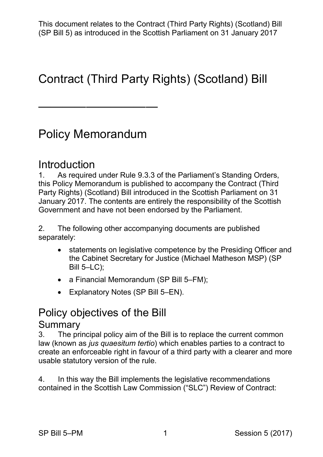# Contract (Third Party Rights) (Scotland) Bill

# Policy Memorandum

——————————

#### **Introduction**

 1. As required under Rule 9.3.3 of the Parliament's Standing Orders, this Policy Memorandum is published to accompany the Contract (Third Party Rights) (Scotland) Bill introduced in the Scottish Parliament on 31 January 2017. The contents are entirely the responsibility of the Scottish Government and have not been endorsed by the Parliament.

2. The following other accompanying documents are published separately:

- the Cabinet Secretary for Justice (Michael Matheson MSP) (SP Bill 5–LC); • statements on legislative competence by the Presiding Officer and
- a Financial Memorandum (SP Bill 5–FM);
- Explanatory Notes (SP Bill 5–EN).

# Policy objectives of the Bill

#### Summary

 3. The principal policy aim of the Bill is to replace the current common  law (known as *jus quaesitum tertio*) which enables parties to a contract to create an enforceable right in favour of a third party with a clearer and more usable statutory version of the rule.

4. In this way the Bill implements the legislative recommendations contained in the Scottish Law Commission ("SLC") Review of Contract: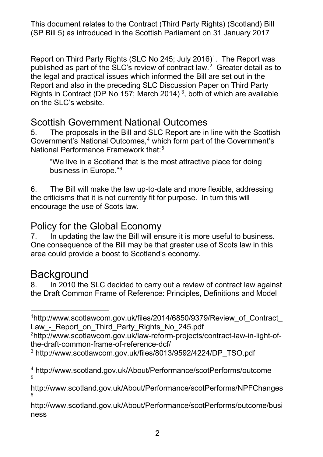published as part of the SLC's review of contract law.<sup>[2](#page-1-1)</sup> Greater detail as to the legal and practical issues which informed the Bill are set out in the Report and also in the preceding SLC Discussion Paper on Third Party Report on Third Party Rights (SLC No 245; July 2016)<sup>1</sup>. The Report was Rights in Contract (DP No 157; March 2014) [3](#page-1-2), both of which are available on the SLC's website.

### Scottish Government National Outcomes

 5. The proposals in the Bill and SLC Report are in line with the Scottish Government's National Outcomes, $4$  which form part of the Government's National Performance Framework that:<sup>5</sup>

 "We live in a Scotland that is the most attractive place for doing business in Europe."[6](#page-1-5)

 the criticisms that it is not currently fit for purpose. In turn this will encourage the use of Scots law. 6. The Bill will make the law up-to-date and more flexible, addressing

## Policy for the Global Economy

 One consequence of the Bill may be that greater use of Scots law in this 7. In updating the law the Bill will ensure it is more useful to business. area could provide a boost to Scotland's economy.

# Background<br>8. In 2010 the

 the Draft Common Frame of Reference: Principles, Definitions and Model In 2010 the SLC decided to carry out a review of contract law against

<span id="page-1-0"></span>-[1http://www.scotlawcom.gov.uk/files/2014/6850/9379/Review\\_of\\_Contract\\_](http://www.scotlawcom.gov.uk/files/2014/6850/9379/Review_of_Contract_Law_-_Report_on_Third_Party_Rights_No_245.pdf)  Law - Report on Third Party Rights No 245.pdf

<span id="page-1-1"></span> [the-draft-common-frame-of-reference-dcf/](http://www.scotlawcom.gov.uk/law-reform-projects/contract-law-in-light-of-the-draft-common-frame-of-reference-dcf/) [2http://www.scotlawcom.gov.uk/law-reform-projects/contract-law-in-light-of-](http://www.scotlawcom.gov.uk/law-reform-projects/contract-law-in-light-of-the-draft-common-frame-of-reference-dcf/)

<span id="page-1-5"></span> [ness](http://www.scotland.gov.uk/About/Performance/scotPerforms/outcome/business)  [http://www.scotland.gov.uk/About/Performance/scotPerforms/outcome/busi](http://www.scotland.gov.uk/About/Performance/scotPerforms/outcome/business) 

<span id="page-1-2"></span><sup>3</sup> [http://www.scotlawcom.gov.uk/files/8013/9592/4224/DP\\_TSO.pdf](http://www.scotlawcom.gov.uk/files/8013/9592/4224/DP_TSO.pdf) 

<span id="page-1-3"></span><sup>&</sup>lt;sup>4</sup> http://www.scotland.gov.uk/About/Performance/scotPerforms/outcome<br><sub>5</sub>

<span id="page-1-4"></span> <http://www.scotland.gov.uk/About/Performance/scotPerforms/NPFChanges> 6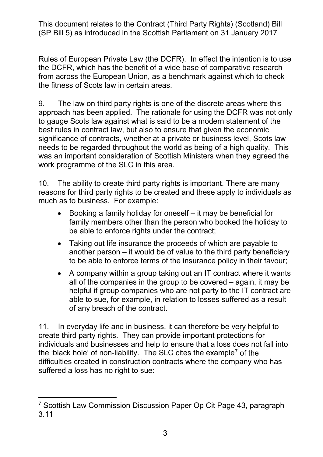Rules of European Private Law (the DCFR). In effect the intention is to use from across the European Union, as a benchmark against which to check the DCFR, which has the benefit of a wide base of comparative research the fitness of Scots law in certain areas.

 9. The law on third party rights is one of the discrete areas where this approach has been applied. The rationale for using the DCFR was not only to gauge Scots law against what is said to be a modern statement of the needs to be regarded throughout the world as being of a high quality. This was an important consideration of Scottish Ministers when they agreed the best rules in contract law, but also to ensure that given the economic significance of contracts, whether at a private or business level, Scots law work programme of the SLC in this area.

 10. The ability to create third party rights is important. There are many reasons for third party rights to be created and these apply to individuals as much as to business. For example:

- • Booking a family holiday for oneself it may be beneficial for family members other than the person who booked the holiday to be able to enforce rights under the contract;
- Taking out life insurance the proceeds of which are payable to another person – it would be of value to the third party beneficiary to be able to enforce terms of the insurance policy in their favour;
- all of the companies in the group to be covered again, it may be helpful if group companies who are not party to the IT contract are • A company within a group taking out an IT contract where it wants able to sue, for example, in relation to losses suffered as a result of any breach of the contract.

 11. In everyday life and in business, it can therefore be very helpful to individuals and businesses and help to ensure that a loss does not fall into the 'black hole' of non-liability.  $\,$  The SLC cites the example $^7$  $^7$  of the  $\,$  difficulties created in construction contracts where the company who has suffered a loss has no right to sue: create third party rights. They can provide important protections for

<span id="page-2-0"></span> $\overline{a}$ <sup>7</sup> Scottish Law Commission Discussion Paper Op Cit Page 43, paragraph 3.11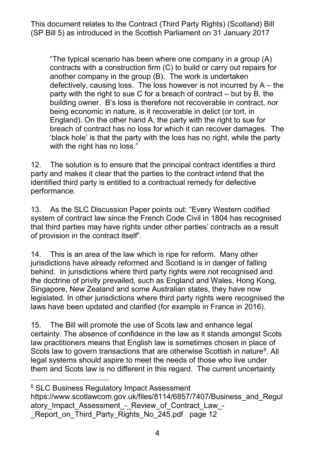contracts with a construction firm (C) to build or carry out repairs for defectively, causing loss. The loss however is not incurred by A – the party with the right to sue C for a breach of contract – but by B, the building owner. B's loss is therefore not recoverable in contract, nor England). On the other hand A, the party with the right to sue for breach of contract has no loss for which it can recover damages. The "The typical scenario has been where one company in a group (A) another company in the group (B). The work is undertaken being economic in nature, is it recoverable in delict (or tort, in 'black hole' is that the party with the loss has no right, while the party with the right has no loss."

 12. The solution is to ensure that the principal contract identifies a third party and makes it clear that the parties to the contract intend that the identified third party is entitled to a contractual remedy for defective performance.

of provision in the contract itself". 13. As the SLC Discussion Paper points out: "Every Western codified system of contract law since the French Code Civil in 1804 has recognised that third parties may have rights under other parties' contracts as a result

 jurisdictions have already reformed and Scotland is in danger of falling behind. In jurisdictions where third party rights were not recognised and legislated. In other jurisdictions where third party rights were recognised the 14. This is an area of the law which is ripe for reform. Many other the doctrine of privity prevailed, such as England and Wales, Hong Kong, Singapore, New Zealand and some Australian states, they have now laws have been updated and clarified (for example in France in 2016).

 certainty. The absence of confidence in the law as it stands amongst Scots legal systems should aspire to meet the needs of those who live under them and Scots law is no different in this regard. The current uncertainty 15. The Bill will promote the use of Scots law and enhance legal law practitioners means that English law is sometimes chosen in place of Scots law to govern transactions that are otherwise Scottish in nature<sup>[8](#page-3-0)</sup>. All

<span id="page-3-0"></span><sup>8</sup> SLC Business Regulatory Impact Assessment

 $\overline{a}$ 

 [\\_Report\\_on\\_Third\\_Party\\_Rights\\_No\\_245.pdf](https://www.scotlawcom.gov.uk/files/8114/6857/7407/Business_and_Regulatory_Impact_Assessment_-_Review_of_Contract_Law_-_Report_on_Third_Party_Rights_No_245.pdf) page 12 https://www.scotlawcom.gov.uk/files/8114/6857/7407/Business\_and\_Regul atory Impact Assessment - Review of Contract Law -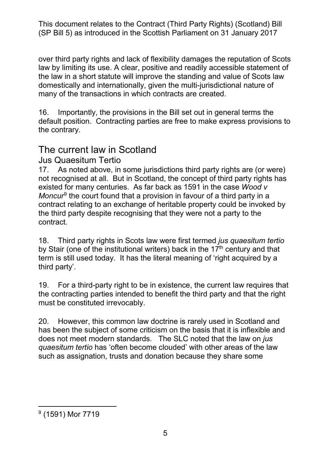over third party rights and lack of flexibility damages the reputation of Scots law by limiting its use. A clear, positive and readily accessible statement of the law in a short statute will improve the standing and value of Scots law domestically and internationally, given the multi-jurisdictional nature of many of the transactions in which contracts are created.

 16. Importantly, the provisions in the Bill set out in general terms the default position. Contracting parties are free to make express provisions to the contrary.

### The current law in Scotland

#### Jus Quaesitum Tertio

 not recognised at all. But in Scotland, the concept of third party rights has existed for many centuries. As far back as 1591 in the case *Wood v Moncur*[9](#page-4-0) the court found that a provision in favour of a third party in a contract relating to an exchange of heritable property could be invoked by the third party despite recognising that they were not a party to the 17. As noted above, in some jurisdictions third party rights are (or were) contract.

 18. Third party rights in Scots law were first termed *jus quaesitum tertio*  by Stair (one of the institutional writers) back in the 17<sup>th</sup> century and that term is still used today. It has the literal meaning of 'right acquired by a third party'.

 19. For a third-party right to be in existence, the current law requires that the contracting parties intended to benefit the third party and that the right must be constituted irrevocably.

 has been the subject of some criticism on the basis that it is inflexible and does not meet modern standards. The SLC noted that the law on *jus quaesitum tertio* has 'often become clouded' with other areas of the law such as assignation, trusts and donation because they share some 20. However, this common law doctrine is rarely used in Scotland and

<span id="page-4-0"></span><sup>-</sup><sup>9</sup> (1591) Mor 7719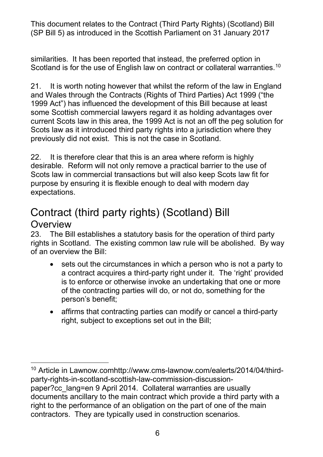similarities. It has been reported that instead, the preferred option in Scotland is for the use of English law on contract or collateral warranties.<sup>10</sup>

 and Wales through the Contracts (Rights of Third Parties) Act 1999 ("the 1999 Act") has influenced the development of this Bill because at least current Scots law in this area, the 1999 Act is not an off the peg solution for 21. It is worth noting however that whilst the reform of the law in England some Scottish commercial lawyers regard it as holding advantages over Scots law as it introduced third party rights into a jurisdiction where they previously did not exist. This is not the case in Scotland.

 22. It is therefore clear that this is an area where reform is highly Scots law in commercial transactions but will also keep Scots law fit for desirable. Reform will not only remove a practical barrier to the use of purpose by ensuring it is flexible enough to deal with modern day expectations.

# Contract (third party rights) (Scotland) Bill **Overview**

-

23. rights in Scotland. The existing common law rule will be abolished. By way of an overview the Bill: The Bill establishes a statutory basis for the operation of third party

- • sets out the circumstances in which a person who is not a party to of the contracting parties will do, or not do, something for the a contract acquires a third-party right under it. The 'right' provided is to enforce or otherwise invoke an undertaking that one or more person's benefit;
- right, subject to exceptions set out in the Bill; • affirms that contracting parties can modify or cancel a third-party

<span id="page-5-0"></span> [paper?cc\\_lang=en](http://www.cms-lawnow.com/ealerts/2014/04/third-party-rights-in-scotland-scottish-law-commission-discussion-paper?cc_lang=en) 9 April 2014. Collateral warranties are usually contractors. They are typically used in construction scenarios. 10 Article in Lawnow.co[mhttp://www.cms-lawnow.com/ealerts/2014/04/third](http://www.cms-lawnow.com/ealerts/2014/04/third-party-rights-in-scotland-scottish-law-commission-discussion-paper?cc_lang=en)[party-rights-in-scotland-scottish-law-commission-discussion](http://www.cms-lawnow.com/ealerts/2014/04/third-party-rights-in-scotland-scottish-law-commission-discussion-paper?cc_lang=en)documents ancillary to the main contract which provide a third party with a right to the performance of an obligation on the part of one of the main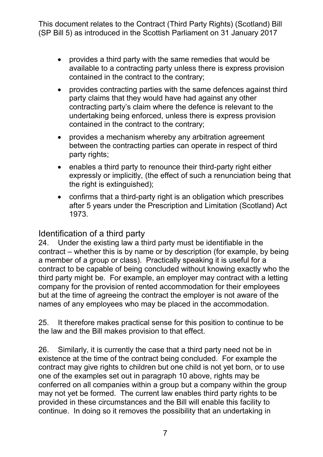- • provides a third party with the same remedies that would be contained in the contract to the contrary; available to a contracting party unless there is express provision
- • provides contracting parties with the same defences against third party claims that they would have had against any other contracting party's claim where the defence is relevant to the contained in the contract to the contrary; undertaking being enforced, unless there is express provision
- $\bullet$ • provides a mechanism whereby any arbitration agreement between the contracting parties can operate in respect of third party rights;
- expressly or implicitly, (the effect of such a renunciation being that • enables a third party to renounce their third-party right either the right is extinguished);
- after 5 years under the Prescription and Limitation (Scotland) Act • confirms that a third-party right is an obligation which prescribes 1973.

#### Identification of a third party

 but at the time of agreeing the contract the employer is not aware of the 24. Under the existing law a third party must be identifiable in the contract – whether this is by name or by description (for example, by being a member of a group or class). Practically speaking it is useful for a contract to be capable of being concluded without knowing exactly who the third party might be. For example, an employer may contract with a letting company for the provision of rented accommodation for their employees names of any employees who may be placed in the accommodation.

 25. It therefore makes practical sense for this position to continue to be the law and the Bill makes provision to that effect.

 existence at the time of the contract being concluded. For example the contract may give rights to children but one child is not yet born, or to use one of the examples set out in paragraph 10 above, rights may be may not yet be formed. The current law enables third party rights to be provided in these circumstances and the Bill will enable this facility to continue. In doing so it removes the possibility that an undertaking in 26. Similarly, it is currently the case that a third party need not be in conferred on all companies within a group but a company within the group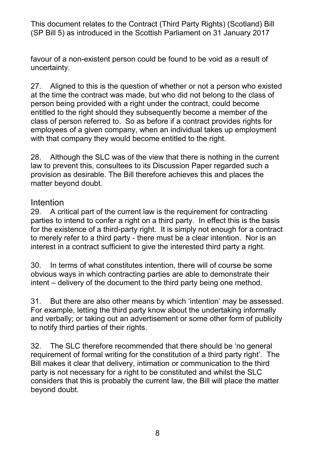favour of a non-existent person could be found to be void as a result of uncertainty.

 27. Aligned to this is the question of whether or not a person who existed at the time the contract was made, but who did not belong to the class of entitled to the right should they subsequently become a member of the class of person referred to. So as before if a contract provides rights for employees of a given company, when an individual takes up employment with that company they would become entitled to the right. person being provided with a right under the contract, could become

 28. Although the SLC was of the view that there is nothing in the current law to prevent this, consultees to its Discussion Paper regarded such a provision as desirable. The Bill therefore achieves this and places the matter beyond doubt.

#### Intention

 29. A critical part of the current law is the requirement for contracting parties to intend to confer a right on a third party. In effect this is the basis for the existence of a third-party right. It is simply not enough for a contract to merely refer to a third party - there must be a clear intention. Nor is an interest in a contract sufficient to give the interested third party a right.

 obvious ways in which contracting parties are able to demonstrate their 30. In terms of what constitutes intention, there will of course be some intent – delivery of the document to the third party being one method.

But there are also other means by which 'intention' may be assessed. 31. But there are also other means by which 'intention' may be assessed.<br>For example, letting the third party know about the undertaking informally and verbally; or taking out an advertisement or some other form of publicity to notify third parties of their rights.

 32. The SLC therefore recommended that there should be 'no general requirement of formal writing for the constitution of a third party right'. The party is not necessary for a right to be constituted and whilst the SLC Bill makes it clear that delivery, intimation or communication to the third considers that this is probably the current law, the Bill will place the matter beyond doubt.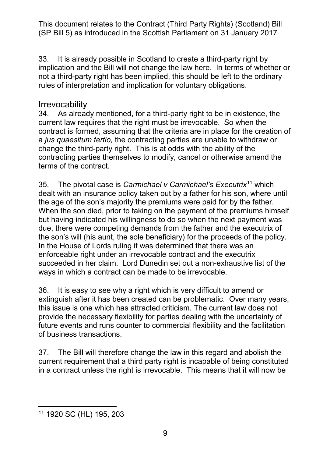33. It is already possible in Scotland to create a third-party right by implication and the Bill will not change the law here. In terms of whether or not a third-party right has been implied, this should be left to the ordinary rules of interpretation and implication for voluntary obligations.

#### **Irrevocability**

 34. As already mentioned, for a third-party right to be in existence, the current law requires that the right must be irrevocable. So when the contract is formed, assuming that the criteria are in place for the creation of change the third-party right. This is at odds with the ability of the contracting parties themselves to modify, cancel or otherwise amend the a *jus quaesitum tertio,* the contracting parties are unable to withdraw or terms of the contract.

 35. The pivotal case is *Carmichael v Carmichael's Executrix*[11](#page-8-0) which dealt with an insurance policy taken out by a father for his son, where until When the son died, prior to taking on the payment of the premiums himself due, there were competing demands from the father and the executrix of In the House of Lords ruling it was determined that there was an succeeded in her claim. Lord Dunedin set out a non-exhaustive list of the the age of the son's majority the premiums were paid for by the father. but having indicated his willingness to do so when the next payment was the son's will (his aunt, the sole beneficiary) for the proceeds of the policy. enforceable right under an irrevocable contract and the executrix ways in which a contract can be made to be irrevocable.

 extinguish after it has been created can be problematic. Over many years, future events and runs counter to commercial flexibility and the facilitation of business transactions. 36. It is easy to see why a right which is very difficult to amend or this issue is one which has attracted criticism. The current law does not provide the necessary flexibility for parties dealing with the uncertainty of

 current requirement that a third party right is incapable of being constituted 37. The Bill will therefore change the law in this regard and abolish the in a contract unless the right is irrevocable. This means that it will now be

<span id="page-8-0"></span> $\overline{a}$ 11 1920 SC (HL) 195, 203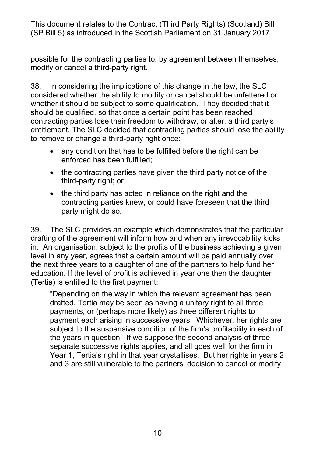possible for the contracting parties to, by agreement between themselves, modify or cancel a third-party right.

 38. In considering the implications of this change in the law, the SLC considered whether the ability to modify or cancel should be unfettered or should be qualified, so that once a certain point has been reached entitlement. The SLC decided that contracting parties should lose the ability to remove or change a third-party right once: whether it should be subject to some qualification. They decided that it contracting parties lose their freedom to withdraw, or alter, a third party's

- • any condition that has to be fulfilled before the right can be enforced has been fulfilled;
- • the contracting parties have given the third party notice of the third-party right; or
- contracting parties knew, or could have foreseen that the third party might do so. • the third party has acted in reliance on the right and the

 in. An organisation, subject to the profits of the business achieving a given the next three years to a daughter of one of the partners to help fund her (Tertia) is entitled to the first payment: 39. The SLC provides an example which demonstrates that the particular drafting of the agreement will inform how and when any irrevocability kicks level in any year, agrees that a certain amount will be paid annually over education. If the level of profit is achieved in year one then the daughter

 "Depending on the way in which the relevant agreement has been drafted, Tertia may be seen as having a unitary right to all three payments, or (perhaps more likely) as three different rights to payment each arising in successive years. Whichever, her rights are the years in question. If we suppose the second analysis of three separate successive rights applies, and all goes well for the firm in Year 1, Tertia's right in that year crystallises. But her rights in years 2 subject to the suspensive condition of the firm's profitability in each of and 3 are still vulnerable to the partners' decision to cancel or modify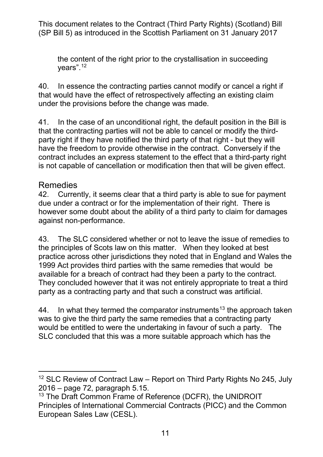the content of the right prior to the crystallisation in succeeding years". [12](#page-10-0) 

 40. In essence the contracting parties cannot modify or cancel a right if that would have the effect of retrospectively affecting an existing claim under the provisions before the change was made.

 that the contracting parties will not be able to cancel or modify the third- party right if they have notified the third party of that right - but they will 41. In the case of an unconditional right, the default position in the Bill is have the freedom to provide otherwise in the contract. Conversely if the contract includes an express statement to the effect that a third-party right is not capable of cancellation or modification then that will be given effect.

#### Remedies

 42. Currently, it seems clear that a third party is able to sue for payment due under a contract or for the implementation of their right. There is however some doubt about the ability of a third party to claim for damages against non-performance.

 43. The SLC considered whether or not to leave the issue of remedies to the principles of Scots law on this matter. When they looked at best practice across other jurisdictions they noted that in England and Wales the available for a breach of contract had they been a party to the contract. They concluded however that it was not entirely appropriate to treat a third party as a contracting party and that such a construct was artificial. 1999 Act provides third parties with the same remedies that would be

44. In what they termed the comparator instruments $^{\text{13}}$  the approach taken was to give the third party the same remedies that a contracting party would be entitled to were the undertaking in favour of such a party. The SLC concluded that this was a more suitable approach which has the

<span id="page-10-0"></span><sup>-</sup> $12$  SLC Review of Contract Law – Report on Third Party Rights No 245, July 2016 – page 72, paragraph 5.15.

<span id="page-10-1"></span><sup>&</sup>lt;sup>13</sup> The Draft Common Frame of Reference (DCFR), the UNIDROIT Principles of International Commercial Contracts (PICC) and the Common European Sales Law (CESL).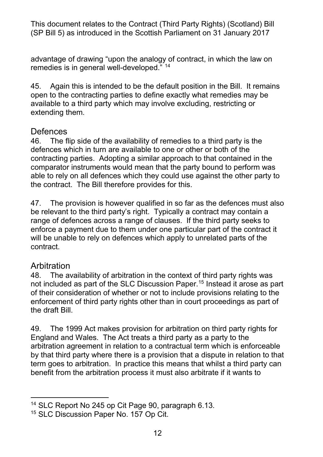advantage of drawing "upon the analogy of contract, in which the law on remedies is in general well-developed." [14](#page-11-0)

 45. Again this is intended to be the default position in the Bill. It remains open to the contracting parties to define exactly what remedies may be available to a third party which may involve excluding, restricting or extending them.

#### **Defences**

 46. The flip side of the availability of remedies to a third party is the contracting parties. Adopting a similar approach to that contained in the able to rely on all defences which they could use against the other party to defences which in turn are available to one or other or both of the comparator instruments would mean that the party bound to perform was the contract. The Bill therefore provides for this.

 be relevant to the third party's right. Typically a contract may contain a range of defences across a range of clauses. If the third party seeks to enforce a payment due to them under one particular part of the contract it will be unable to rely on defences which apply to unrelated parts of the 47. The provision is however qualified in so far as the defences must also contract.

#### **Arbitration**

-

 of their consideration of whether or not to include provisions relating to the enforcement of third party rights other than in court proceedings as part of 48. The availability of arbitration in the context of third party rights was not included as part of the SLC Discussion Paper.<sup>[15](#page-11-1)</sup> Instead it arose as part the draft Bill.

 England and Wales. The Act treats a third party as a party to the arbitration agreement in relation to a contractual term which is enforceable by that third party where there is a provision that a dispute in relation to that term goes to arbitration. In practice this means that whilst a third party can benefit from the arbitration process it must also arbitrate if it wants to 49. The 1999 Act makes provision for arbitration on third party rights for

<span id="page-11-0"></span><sup>&</sup>lt;sup>14</sup> SLC Report No 245 op Cit Page 90, paragraph 6.13.

<span id="page-11-1"></span><sup>&</sup>lt;sup>15</sup> SLC Discussion Paper No. 157 Op Cit.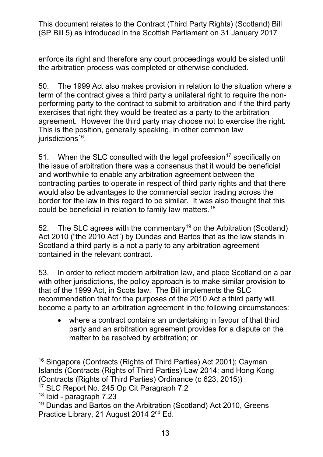enforce its right and therefore any court proceedings would be sisted until the arbitration process was completed or otherwise concluded.

 term of the contract gives a third party a unilateral right to require the non- performing party to the contract to submit to arbitration and if the third party agreement. However the third party may choose not to exercise the right.<br>This is the position, generally speaking, in other common law 50. The 1999 Act also makes provision in relation to the situation where a exercises that right they would be treated as a party to the arbitration jurisdictions $16$ .

 the issue of arbitration there was a consensus that it would be beneficial would also be advantages to the commercial sector trading across the border for the law in this regard to be similar. It was also thought that this could be beneficial in relation to family law matters. $^{18}$  $^{18}$  $^{18}$ 51. When the SLC consulted with the legal profession<sup>17</sup> specifically on and worthwhile to enable any arbitration agreement between the contracting parties to operate in respect of third party rights and that there

 Act 2010 ("the 2010 Act") by Dundas and Bartos that as the law stands in contained in the relevant contract. 52. The SLC agrees with the commentary<sup>19</sup> on the Arbitration (Scotland) Scotland a third party is a not a party to any arbitration agreement

 with other jurisdictions, the policy approach is to make similar provision to that of the 1999 Act, in Scots law. The Bill implements the SLC recommendation that for the purposes of the 2010 Act a third party will become a party to an arbitration agreement in the following circumstances: 53. In order to reflect modern arbitration law, and place Scotland on a par

 • where a contract contains an undertaking in favour of that third party and an arbitration agreement provides for a dispute on the matter to be resolved by arbitration; or

<span id="page-12-0"></span> $\overline{a}$ <sup>16</sup> Singapore (Contracts (Rights of Third Parties) Act 2001); Cayman Islands (Contracts (Rights of Third Parties) Law 2014; and Hong Kong (Contracts (Rights of Third Parties) Ordinance (c 623, 2015))

<span id="page-12-1"></span> $17$  SLC Report No. 245 Op Cit Paragraph 7.2

<span id="page-12-2"></span> $18$  Ibid - paragraph 7.23

<span id="page-12-3"></span><sup>&</sup>lt;sup>19</sup> Dundas and Bartos on the Arbitration (Scotland) Act 2010, Greens Practice Library, 21 August 2014 2<sup>nd</sup> Ed.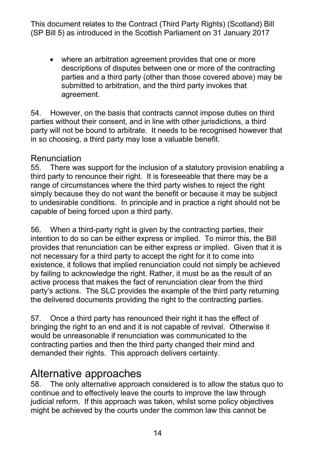• where an arbitration agreement provides that one or more descriptions of disputes between one or more of the contracting parties and a third party (other than those covered above) may be submitted to arbitration, and the third party invokes that agreement.

 54. However, on the basis that contracts cannot impose duties on third parties without their consent, and in line with other jurisdictions, a third party will not be bound to arbitrate. It needs to be recognised however that in so choosing, a third party may lose a valuable benefit.

#### Renunciation

 55. There was support for the inclusion of a statutory provision enabling a third party to renounce their right. It is foreseeable that there may be a range of circumstances where the third party wishes to reject the right to undesirable conditions. In principle and in practice a right should not be simply because they do not want the benefit or because it may be subject capable of being forced upon a third party.

 56. When a third-party right is given by the contracting parties, their not necessary for a third party to accept the right for it to come into by failing to acknowledge the right. Rather, it must be as the result of an active process that makes the fact of renunciation clear from the third the delivered documents providing the right to the contracting parties. intention to do so can be either express or implied. To mirror this, the Bill provides that renunciation can be either express or implied. Given that it is existence, it follows that implied renunciation could not simply be achieved party's actions. The SLC provides the example of the third party returning

 bringing the right to an end and it is not capable of revival. Otherwise it contracting parties and then the third party changed their mind and 57. Once a third party has renounced their right it has the effect of would be unreasonable if renunciation was communicated to the demanded their rights. This approach delivers certainty.

## Alternative approaches

 58. The only alternative approach considered is to allow the status quo to judicial reform. If this approach was taken, whilst some policy objectives might be achieved by the courts under the common law this cannot be continue and to effectively leave the courts to improve the law through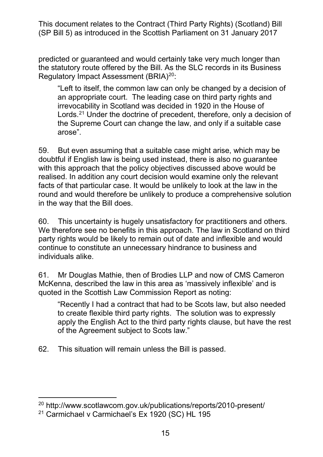predicted or guaranteed and would certainly take very much longer than the statutory route offered by the Bill. As the SLC records in its Business Regulatory Impact Assessment (BRIA)<sup>[20](#page-14-0)</sup>:

 "Left to itself, the common law can only be changed by a decision of Lords.<sup>21</sup> Under the doctrine of precedent, therefore, only a decision of the Supreme Court can change the law, and only if a suitable case an appropriate court. The leading case on third party rights and irrevocability in Scotland was decided in 1920 in the House of arose".

 with this approach that the policy objectives discussed above would be facts of that particular case. It would be unlikely to look at the law in the in the way that the Bill does. 59. But even assuming that a suitable case might arise, which may be doubtful if English law is being used instead, there is also no guarantee realised. In addition any court decision would examine only the relevant round and would therefore be unlikely to produce a comprehensive solution

 60. This uncertainty is hugely unsatisfactory for practitioners and others. We therefore see no benefits in this approach. The law in Scotland on third individuals alike. party rights would be likely to remain out of date and inflexible and would continue to constitute an unnecessary hindrance to business and

61. Mr Douglas Mathie, then of Brodies LLP and now of CMS Cameron McKenna, described the law in this area as 'massively inflexible' and is quoted in the Scottish Law Commission Report as noting:

 to create flexible third party rights. The solution was to expressly apply the English Act to the third party rights clause, but have the rest "Recently I had a contract that had to be Scots law, but also needed of the Agreement subject to Scots law."

62. This situation will remain unless the Bill is passed.

-

<span id="page-14-0"></span><sup>20</sup><http://www.scotlawcom.gov.uk/publications/reports/2010-present/>

<span id="page-14-1"></span> $21$  Carmichael v Carmichael's Ex 1920 (SC) HL 195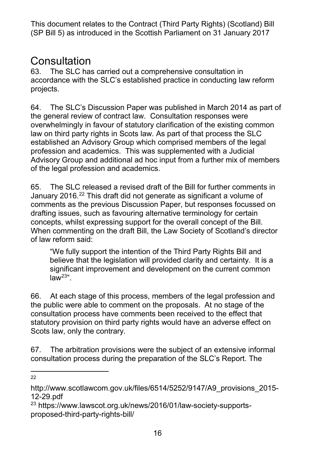# Consultation<br>63. The SLC has

The SLC has carried out a comprehensive consultation in accordance with the SLC's established practice in conducting law reform projects.

 the general review of contract law. Consultation responses were overwhelmingly in favour of statutory clarification of the existing common 64. The SLC's Discussion Paper was published in March 2014 as part of law on third party rights in Scots law. As part of that process the SLC established an Advisory Group which comprised members of the legal profession and academics. This was supplemented with a Judicial Advisory Group and additional ad hoc input from a further mix of members of the legal profession and academics.

 65. The SLC released a revised draft of the Bill for further comments in January 2016.<sup>[22](#page-15-0)</sup> This draft did not generate as significant a volume of drafting issues, such as favouring alternative terminology for certain concepts, whilst expressing support for the overall concept of the Bill. When commenting on the draft Bill, the Law Society of Scotland's director comments as the previous Discussion Paper, but responses focussed on of law reform said:

 believe that the legislation will provided clarity and certainty. It is a "We fully support the intention of the Third Party Rights Bill and significant improvement and development on the current common  $law<sup>23</sup>$ .

 the public were able to comment on the proposals. At no stage of the statutory provision on third party rights would have an adverse effect on Scots law, only the contrary. 66. At each stage of this process, members of the legal profession and consultation process have comments been received to the effect that

67. The arbitration provisions were the subject of an extensive informal consultation process during the preparation of the SLC's Report. The

-22

<span id="page-15-0"></span>[http://www.scotlawcom.gov.uk/files/6514/5252/9147/A9\\_provisions\\_2015-](http://www.scotlawcom.gov.uk/files/6514/5252/9147/A9_provisions_2015-12-29.pdf) [12-29.pdf](http://www.scotlawcom.gov.uk/files/6514/5252/9147/A9_provisions_2015-12-29.pdf)

<span id="page-15-1"></span><sup>23</sup> [https://www.lawscot.org.uk/news/2016/01/law-society-supports](https://www.lawscot.org.uk/news/2016/01/law-society-supports-proposed-third-party-rights-bill/)[proposed-third-party-rights-bill/](https://www.lawscot.org.uk/news/2016/01/law-society-supports-proposed-third-party-rights-bill/)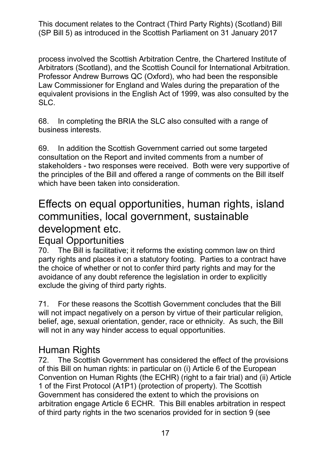process involved the Scottish Arbitration Centre, the Chartered Institute of Arbitrators (Scotland), and the Scottish Council for International Arbitration. Law Commissioner for England and Wales during the preparation of the Professor Andrew Burrows QC (Oxford), who had been the responsible equivalent provisions in the English Act of 1999, was also consulted by the SLC.

 68. In completing the BRIA the SLC also consulted with a range of business interests.

 consultation on the Report and invited comments from a number of the principles of the Bill and offered a range of comments on the Bill itself which have been taken into consideration. 69. In addition the Scottish Government carried out some targeted stakeholders - two responses were received. Both were very supportive of

# Effects on equal opportunities, human rights, island communities, local government, sustainable development etc.

#### Equal Opportunities

 party rights and places it on a statutory footing. Parties to a contract have the choice of whether or not to confer third party rights and may for the exclude the giving of third party rights. 70. The Bill is facilitative; it reforms the existing common law on third avoidance of any doubt reference the legislation in order to explicitly

 71. For these reasons the Scottish Government concludes that the Bill will not impact negatively on a person by virtue of their particular religion, belief, age, sexual orientation, gender, race or ethnicity. As such, the Bill will not in any way hinder access to equal opportunities.<br>Human Rights

 72. The Scottish Government has considered the effect of the provisions of this Bill on human rights: in particular on (i) Article 6 of the European Convention on Human Rights (the ECHR) (right to a fair trial) and (ii) Article 1 of the First Protocol (A1P1) (protection of property). The Scottish Government has considered the extent to which the provisions on arbitration engage Article 6 ECHR. This Bill enables arbitration in respect of third party rights in the two scenarios provided for in section 9 (see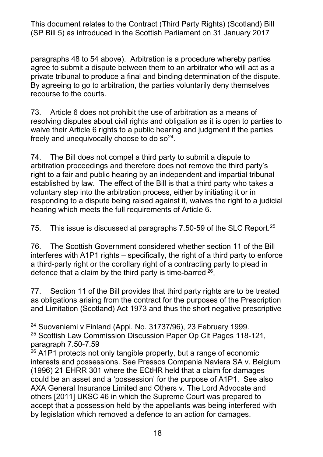private tribunal to produce a final and binding determination of the dispute. paragraphs 48 to 54 above). Arbitration is a procedure whereby parties agree to submit a dispute between them to an arbitrator who will act as a By agreeing to go to arbitration, the parties voluntarily deny themselves recourse to the courts.

73. freely and unequivocally choose to do  $\text{so}^{24}$ . Article 6 does not prohibit the use of arbitration as a means of resolving disputes about civil rights and obligation as it is open to parties to waive their Article 6 rights to a public hearing and judgment if the parties

freely and unequivocally choose to do so<sup>[24](#page-17-0)</sup>.<br>74. The Bill does not compel a third party to submit a dispute to arbitration proceedings and therefore does not remove the third party's responding to a dispute being raised against it, waives the right to a judicial right to a fair and public hearing by an independent and impartial tribunal established by law. The effect of the Bill is that a third party who takes a voluntary step into the arbitration process, either by initiating it or in hearing which meets the full requirements of Article 6.

75. This issue is discussed at paragraphs 7.50-59 of the SLC Report. $25$ 

 76. The Scottish Government considered whether section 11 of the Bill a third-party right or the corollary right of a contracting party to plead in defence that a claim by the third party is time-barred  $26$ . interferes with A1P1 rights – specifically, the right of a third party to enforce

 77. Section 11 of the Bill provides that third party rights are to be treated as obligations arising from the contract for the purposes of the Prescription and Limitation (Scotland) Act 1973 and thus the short negative prescriptive

<span id="page-17-0"></span>-24 Suovaniemi v Finland (Appl. No. 31737/96), 23 February 1999.

<span id="page-17-1"></span>25 Scottish Law Commission Discussion Paper Op Cit Pages 118-121, paragraph [7.50-7.59](https://7.50-7.59)

<span id="page-17-2"></span> interests and possessions. See Pressos Compania Naviera SA v. Belgium (1996) 21 EHRR 301 where the ECtHR held that a claim for damages by legislation which removed a defence to an action for damages.  $26$  A1P1 protects not only tangible property, but a range of economic could be an asset and a 'possession' for the purpose of A1P1. See also AXA General Insurance Limited and Others v. The Lord Advocate and others [2011] UKSC 46 in which the Supreme Court was prepared to accept that a possession held by the appellants was being interfered with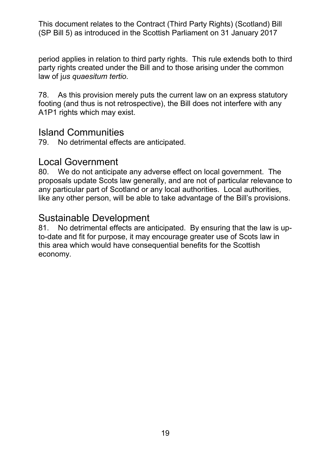period applies in relation to third party rights. This rule extends both to third party rights created under the Bill and to those arising under the common law of j*us quaesitum tertio*.

 78. As this provision merely puts the current law on an express statutory footing (and thus is not retrospective), the Bill does not interfere with any A1P1 rights which may exist.

#### Island Communities

79. No detrimental effects are anticipated.

#### Local Government

 proposals update Scots law generally, and are not of particular relevance to any particular part of Scotland or any local authorities. Local authorities, like any other person, will be able to take advantage of the Bill's provisions. 80. We do not anticipate any adverse effect on local government. The

#### Sustainable Development

 81. No detrimental effects are anticipated. By ensuring that the law is upto-date and fit for purpose, it may encourage greater use of Scots law in this area which would have consequential benefits for the Scottish economy.